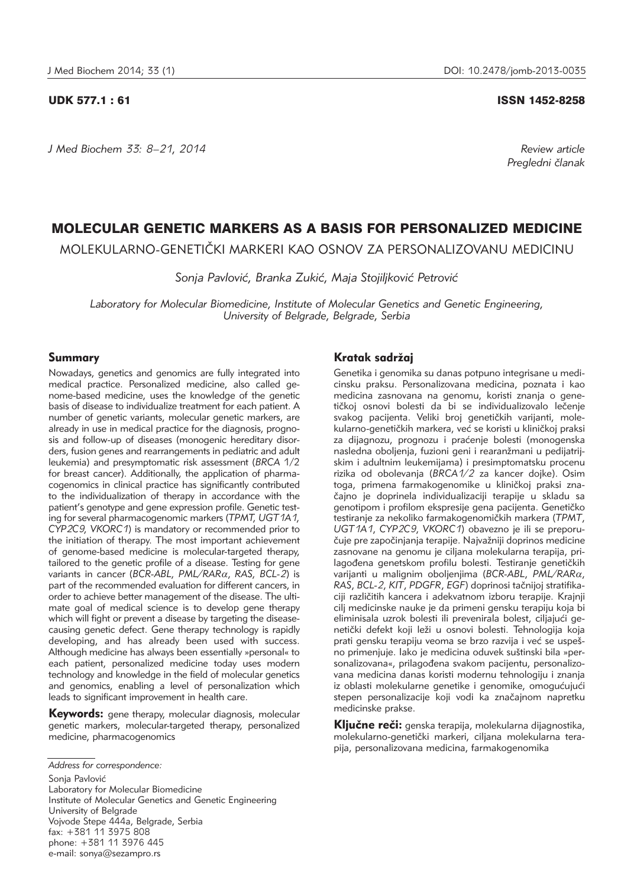*J Med Biochem 33: 8–21, 2014 Review article*

#### UDK 577.1 : 61 ISSN 1452-8258

*Pregledni ~lanak*

# MOLECULAR GENETIC MARKERS AS A BASIS FOR PERSONALIZED MEDICINE

MOLEKULARNO-GENETI^KI MARKERI KAO OSNOV ZA PERSONALIZOVANU MEDICINU

Sonja Pavlović, Branka Zukić, Maja Stojiljković Petrović

*Laboratory for Molecular Biomedicine, Institute of Molecular Genetics and Genetic Engineering, University of Belgrade, Belgrade, Serbia*

# Summary

Nowadays, genetics and genomics are fully integrated into medical practice. Personalized medicine, also called genome-based medicine, uses the knowledge of the genetic basis of disease to individualize treatment for each patient. A number of genetic variants, molecular genetic markers, are already in use in medical practice for the diagnosis, prognosis and follow-up of diseases (monogenic hereditary disorders, fusion genes and rearrangements in pediatric and adult leukemia) and presymptomatic risk assessment (*BRCA* 1/2 for breast cancer). Additionally, the application of pharmacogenomics in clinical practice has significantly contributed to the individualization of therapy in accordance with the patient's genotype and gene expression profile. Genetic testing for several pharmacogenomic markers (*TPMT, UGT1A1, CYP2C9, VKORC1*) is mandatory or recommended prior to the initiation of therapy. The most important achievement of genome-based medicine is molecular-targeted therapy, tailored to the genetic profile of a disease. Testing for gene variants in cancer (*BCR-ABL, PML/RAR*a, *RAS, BCL-2*) is part of the recommended evaluation for different cancers, in order to achieve better management of the disease. The ultimate goal of medical science is to develop gene therapy which will fight or prevent a disease by targeting the diseasecausing genetic defect. Gene therapy technology is rapidly developing, and has already been used with success. Although medicine has always been essentially »personal« to each patient, personalized medicine today uses modern technology and knowledge in the field of molecular genetics and genomics, enabling a level of personalization which leads to significant improvement in health care.

Keywords: gene therapy, molecular diagnosis, molecular genetic markers, molecular-targeted therapy, personalized medicine, pharmacogenomics

Sonja Pavlović

Laboratory for Molecular Biomedicine Institute of Molecular Genetics and Genetic Engineering University of Belgrade Vojvode Stepe 444a, Belgrade, Serbia fax: +381 11 3975 808 phone: +381 11 3976 445 e-mail: sonya@sezampro.rs

# Kratak sadržaj

Genetika i genomika su danas potpuno integrisane u medi cinsku praksu. Personalizovana medicina, poznata i kao medicina zasnovana na genomu, koristi znanja o genetičkoj osnovi bolesti da bi se individualizovalo lečenje svakog pacijenta. Veliki broj genetičkih varijanti, molekularno-genetičkih markera, već se koristi u kliničkoj praksi za dijagnozu, prognozu i praćenje bolesti (monogenska nasledna oboljenja, fuzioni geni i rearanžmani u pedijatrijskim i adultnim leukemijama) i presimptomatsku procenu rizika od obolevanja (*BRCA1/2* za kancer dojke). Osim toga, primena farmakogenomike u kliničkoj praksi značajno je doprinela individualizaciji terapije u skladu sa genotipom i profilom ekspresije gena pacijenta. Genetičko testiranje za nekoliko farmakogenomičkih markera (TPMT, *UGT1A1*, *CYP2C9*, *VKORC1*) obavezno je ili se preporučuje pre započinjanja terapije. Najvažniji doprinos medicine zasnovane na genomu je ciljana molekularna terapija, prilagođena genetskom profilu bolesti. Testiranje genetičkih varijanti u malignim oboljenjima (*BCR-ABL*, *PML/RAR*a, *RAS*, *BCL-2*, *KIT*, *PDGFR*, *EGF*) doprinosi tačnijoj stratifikaciji različitih kancera i adekvatnom izboru terapije. Krajnji cilj medicinske nauke je da primeni gensku terapiju koja bi eliminisala uzrok bolesti ili prevenirala bolest, ciljajući genetički defekt koji leži u osnovi bolesti. Tehnologija koja prati gensku terapiju veoma se brzo razvija i već se uspešno primenjuje. Iako je medicina oduvek suštinski bila »personalizovana«, prilagođena svakom pacijentu, personalizovana medicina danas koristi modernu tehnologiju i znanja iz oblasti molekularne genetike i genomike, omogućujući stepen personalizacije koji vodi ka značajnom napretku medicinske prakse.

Ključne reči: genska terapija, molekularna dijagnostika, molekularno-genetički markeri, ciljana molekularna terapija, personalizovana medicina, farmakogenomika

*Address for correspondence:*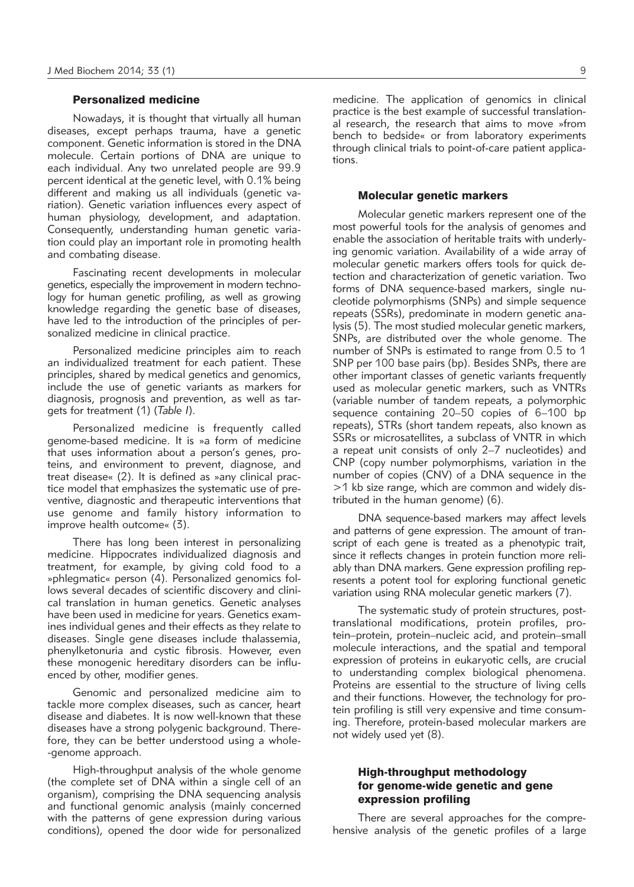#### Personalized medicine

Nowadays, it is thought that virtually all human diseases, except perhaps trauma, have a genetic component. Genetic information is stored in the DNA molecule. Certain portions of DNA are unique to each individual. Any two unrelated people are 99.9 percent identical at the genetic level, with 0.1% being different and making us all individuals (genetic variation). Genetic variation influences every aspect of human physiology, development, and adaptation. Consequently, understanding human genetic variation could play an important role in promoting health and combating disease.

Fascinating recent developments in molecular genetics, especially the improvement in modern technology for human genetic profiling, as well as growing knowledge regarding the genetic base of diseases, have led to the introduction of the principles of personalized medicine in clinical practice.

Personalized medicine principles aim to reach an individualized treatment for each patient. These principles, shared by medical genetics and genomics, include the use of genetic variants as markers for diagnosis, prognosis and prevention, as well as targets for treatment (1) (*Table I*).

Personalized medicine is frequently called genome-based medicine. It is »a form of medicine that uses information about a person's genes, proteins, and environment to prevent, diagnose, and treat disease« (2). It is defined as »any clinical practice model that emphasizes the systematic use of preventive, diagnostic and therapeutic interventions that use genome and family history information to improve health outcome« (3).

There has long been interest in personalizing medicine. Hippocrates individualized diagnosis and treatment, for example, by giving cold food to a »phlegmatic« person (4). Personalized genomics follows several decades of scientific discovery and clinical translation in human genetics. Genetic analyses have been used in medicine for years. Genetics examines individual genes and their effects as they relate to diseases. Single gene diseases include thalassemia, phenylketonuria and cystic fibrosis. However, even these monogenic hereditary disorders can be influenced by other, modifier genes.

Genomic and personalized medicine aim to tackle more complex diseases, such as cancer, heart disease and diabetes. It is now well-known that these diseases have a strong polygenic background. Therefore, they can be better understood using a whole- -genome approach.

High-throughput analysis of the whole genome (the complete set of DNA within a single cell of an organism), comprising the DNA sequencing analysis and functional genomic analysis (mainly concerned with the patterns of gene expression during various conditions), opened the door wide for personalized

medicine. The application of genomics in clinical practice is the best example of successful translational research, the research that aims to move »from bench to bedside« or from laboratory experiments through clinical trials to point-of-care patient applications.

#### Molecular genetic markers

Molecular genetic markers represent one of the most powerful tools for the analysis of genomes and enable the association of heritable traits with underlying genomic variation. Availability of a wide array of molecular genetic markers offers tools for quick de tection and characterization of genetic variation. Two forms of DNA sequence-based markers, single nucleotide polymorphisms (SNPs) and simple sequence repeats (SSRs), predominate in modern genetic analysis (5). The most studied molecular genetic markers, SNPs, are distributed over the whole genome. The number of SNPs is estimated to range from 0.5 to 1 SNP per 100 base pairs (bp). Besides SNPs, there are other important classes of genetic variants frequently used as molecular genetic markers, such as VNTRs (variable number of tandem repeats, a polymorphic sequence containing 20–50 copies of 6–100 bp repeats), STRs (short tandem repeats, also known as SSRs or microsatellites, a subclass of VNTR in which a repeat unit consists of only 2–7 nucleotides) and CNP (copy number polymorphisms, variation in the number of copies (CNV) of a DNA sequence in the >1 kb size range, which are common and widely distributed in the human genome) (6).

DNA sequence-based markers may affect levels and patterns of gene expression. The amount of transcript of each gene is treated as a phenotypic trait, since it reflects changes in protein function more reliably than DNA markers. Gene expression profiling represents a potent tool for exploring functional genetic variation using RNA molecular genetic markers (7).

The systematic study of protein structures, posttranslational modifications, protein profiles, protein–protein, protein–nucleic acid, and protein–small molecule interactions, and the spatial and temporal expression of proteins in eukaryotic cells, are crucial to understanding complex biological phenomena. Proteins are essential to the structure of living cells and their functions. However, the technology for protein profiling is still very expensive and time consuming. Therefore, protein-based molecular markers are not widely used yet (8).

# High-throughput methodology for genome-wide genetic and gene expression profiling

There are several approaches for the comprehensive analysis of the genetic profiles of a large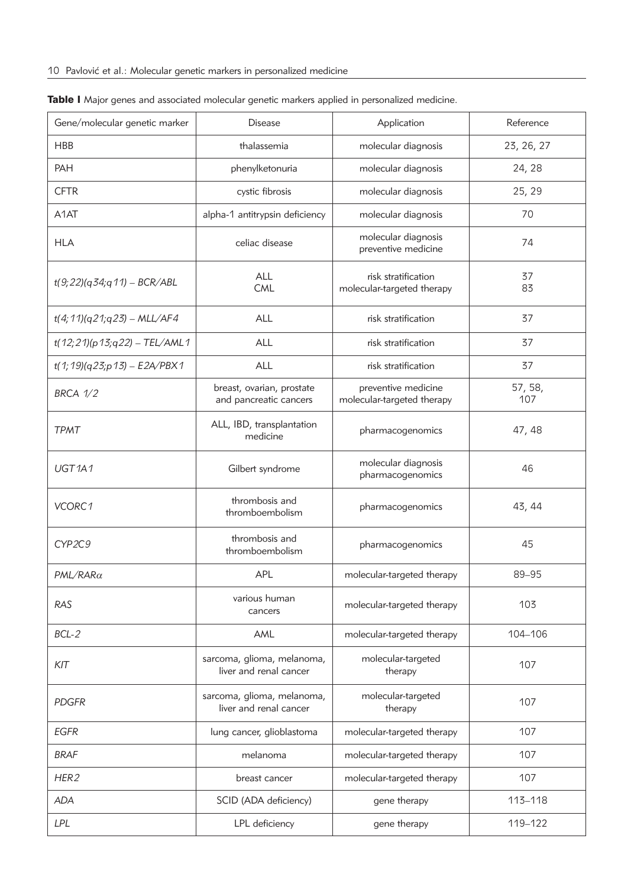| Gene/molecular genetic marker   | <b>Disease</b>                                       | Application                                       | Reference      |
|---------------------------------|------------------------------------------------------|---------------------------------------------------|----------------|
| <b>HBB</b>                      | thalassemia                                          | molecular diagnosis                               | 23, 26, 27     |
| PAH                             | phenylketonuria                                      | molecular diagnosis                               | 24, 28         |
| <b>CFTR</b>                     | cystic fibrosis                                      | molecular diagnosis                               | 25, 29         |
| A <sub>1</sub> AT               | alpha-1 antitrypsin deficiency                       | molecular diagnosis                               | 70             |
| <b>HLA</b>                      | celiac disease                                       | molecular diagnosis<br>preventive medicine        | 74             |
| $t(9;22)(q34;q11) - BCR/ABL$    | <b>ALL</b><br><b>CML</b>                             | risk stratification<br>molecular-targeted therapy | 37<br>83       |
| $t(4; 11)(q21; q23) - MLL/AF4$  | <b>ALL</b>                                           | risk stratification                               | 37             |
| t(12;21)(p13;q22) - TEL/AML1    | ALL                                                  | risk stratification                               | 37             |
| $t(1; 19)(q23; p13) - E2A/PBX1$ | ALL                                                  | risk stratification                               | 37             |
| BRCA 1/2                        | breast, ovarian, prostate<br>and pancreatic cancers  | preventive medicine<br>molecular-targeted therapy | 57, 58,<br>107 |
| <b>TPMT</b>                     | ALL, IBD, transplantation<br>medicine                | pharmacogenomics                                  | 47, 48         |
| UGT <sub>1A1</sub>              | Gilbert syndrome                                     | molecular diagnosis<br>pharmacogenomics           | 46             |
| VCORC1                          | thrombosis and<br>thromboembolism                    | pharmacogenomics                                  | 43, 44         |
| CYP2C9                          | thrombosis and<br>thromboembolism                    | pharmacogenomics                                  | 45             |
| $PML/RAR\alpha$                 | <b>APL</b>                                           | molecular-targeted therapy                        | 89-95          |
| RAS                             | various human<br>cancers                             | molecular-targeted therapy                        | 103            |
| $BCL-2$                         | AML                                                  | molecular-targeted therapy                        | 104-106        |
| KIT                             | sarcoma, glioma, melanoma,<br>liver and renal cancer | molecular-targeted<br>therapy                     | 107            |
| <b>PDGFR</b>                    | sarcoma, glioma, melanoma,<br>liver and renal cancer | molecular-targeted<br>therapy                     | 107            |
| <b>EGFR</b>                     | lung cancer, glioblastoma                            | molecular-targeted therapy                        | 107            |
| <b>BRAF</b>                     | melanoma                                             | molecular-targeted therapy                        | 107            |
| HER <sub>2</sub>                | breast cancer                                        | molecular-targeted therapy                        | 107            |
| <b>ADA</b>                      | SCID (ADA deficiency)                                | gene therapy                                      | 113-118        |
| <b>LPL</b>                      | LPL deficiency                                       | gene therapy                                      | 119-122        |

| Table I Major genes and associated molecular genetic markers applied in personalized medicine. |  |
|------------------------------------------------------------------------------------------------|--|
|------------------------------------------------------------------------------------------------|--|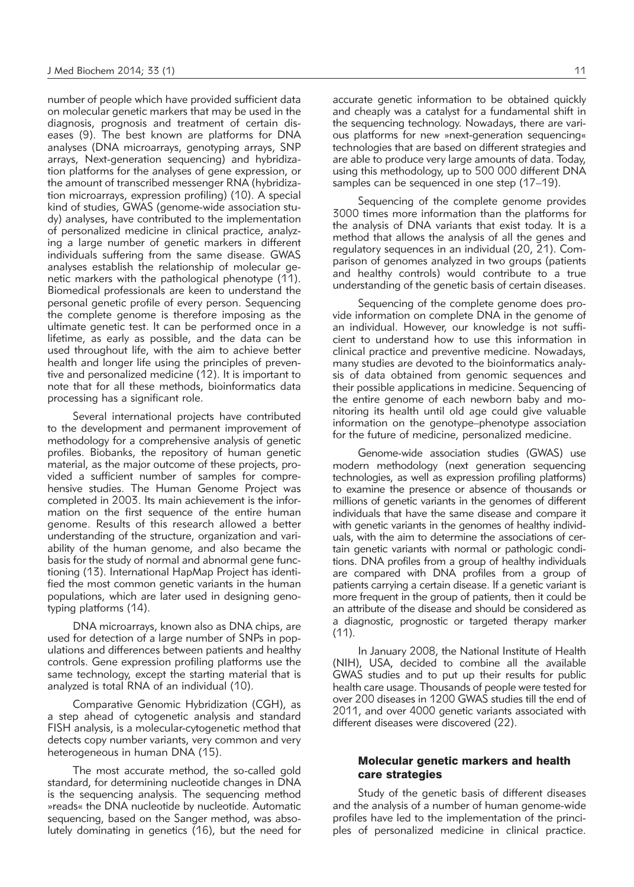number of people which have provided sufficient data on molecular genetic markers that may be used in the diagnosis, prognosis and treatment of certain diseases (9). The best known are platforms for DNA analyses (DNA microarrays, genotyping arrays, SNP arrays, Next-generation sequencing) and hybridization platforms for the analyses of gene expression, or the amount of transcribed messenger RNA (hybridization microarrays, expression profiling) (10). A special kind of studies, GWAS (genome-wide association study) analyses, have contributed to the implementation of personalized medicine in clinical practice, analyzing a large number of genetic markers in different individuals suffering from the same disease. GWAS analyses establish the relationship of molecular genetic markers with the pathological phenotype (11). Biomedical professionals are keen to understand the personal genetic profile of every person. Sequencing the complete genome is therefore imposing as the ultimate genetic test. It can be performed once in a lifetime, as early as possible, and the data can be used throughout life, with the aim to achieve better health and longer life using the principles of preventive and personalized medicine (12). It is important to note that for all these methods, bioinformatics data processing has a significant role.

Several international projects have contributed to the development and permanent improvement of methodology for a comprehensive analysis of genetic profiles. Biobanks, the repository of human genetic material, as the major outcome of these projects, provided a sufficient number of samples for comprehensive studies. The Human Genome Project was completed in 2003. Its main achievement is the information on the first sequence of the entire human genome. Results of this research allowed a better understanding of the structure, organization and variability of the human genome, and also became the basis for the study of normal and abnormal gene functioning (13). International HapMap Project has identified the most common genetic variants in the human populations, which are later used in designing genotyping platforms (14).

DNA microarrays, known also as DNA chips, are used for detection of a large number of SNPs in populations and differences between patients and healthy controls. Gene expression profiling platforms use the same technology, except the starting material that is analyzed is total RNA of an individual (10).

Comparative Genomic Hybridization (CGH), as a step ahead of cytogenetic analysis and standard FISH analysis, is a molecular-cytogenetic method that detects copy number variants, very common and very heterogeneous in human DNA (15).

The most accurate method, the so-called gold standard, for determining nucleotide changes in DNA is the sequencing analysis. The sequencing method »reads« the DNA nucleotide by nucleotide. Automatic sequencing, based on the Sanger method, was absolutely dominating in genetics (16), but the need for

accurate genetic information to be obtained quickly and cheaply was a catalyst for a fundamental shift in the sequencing technology. Nowadays, there are various platforms for new »next-generation sequencing« technologies that are based on different strategies and are able to produce very large amounts of data. Today, using this methodology, up to 500 000 different DNA samples can be sequenced in one step (17–19).

Sequencing of the complete genome provides 3000 times more information than the platforms for the analysis of DNA variants that exist today. It is a method that allows the analysis of all the genes and regulatory sequences in an individual (20, 21). Comparison of genomes analyzed in two groups (patients and healthy controls) would contribute to a true understanding of the genetic basis of certain diseases.

Sequencing of the complete genome does provide information on complete DNA in the genome of an individual. However, our knowledge is not sufficient to understand how to use this information in clinical practice and preventive medicine. Nowadays, many studies are devoted to the bioinformatics analysis of data obtained from genomic sequences and their possible applications in medicine. Sequencing of the entire genome of each newborn baby and monitoring its health until old age could give valuable information on the genotype–phenotype association for the future of medicine, personalized medicine.

Genome-wide association studies (GWAS) use modern methodology (next generation sequencing technologies, as well as expression profiling platforms) to examine the presence or absence of thousands or millions of genetic variants in the genomes of different individuals that have the same disease and compare it with genetic variants in the genomes of healthy individuals, with the aim to determine the associations of certain genetic variants with normal or pathologic conditions. DNA profiles from a group of healthy individuals are compared with DNA profiles from a group of patients carrying a certain disease. If a genetic variant is more frequent in the group of patients, then it could be an attribute of the disease and should be considered as a diagnostic, prognostic or targeted therapy marker  $(11)$ .

In January 2008, the National Institute of Health (NIH), USA, decided to combine all the available GWAS studies and to put up their results for public health care usage. Thousands of people were tested for over 200 diseases in 1200 GWAS studies till the end of 2011, and over 4000 genetic variants associated with different diseases were discovered (22).

# Molecular genetic markers and health care strategies

Study of the genetic basis of different diseases and the analysis of a number of human genome-wide profiles have led to the implementation of the principles of personalized medicine in clinical practice.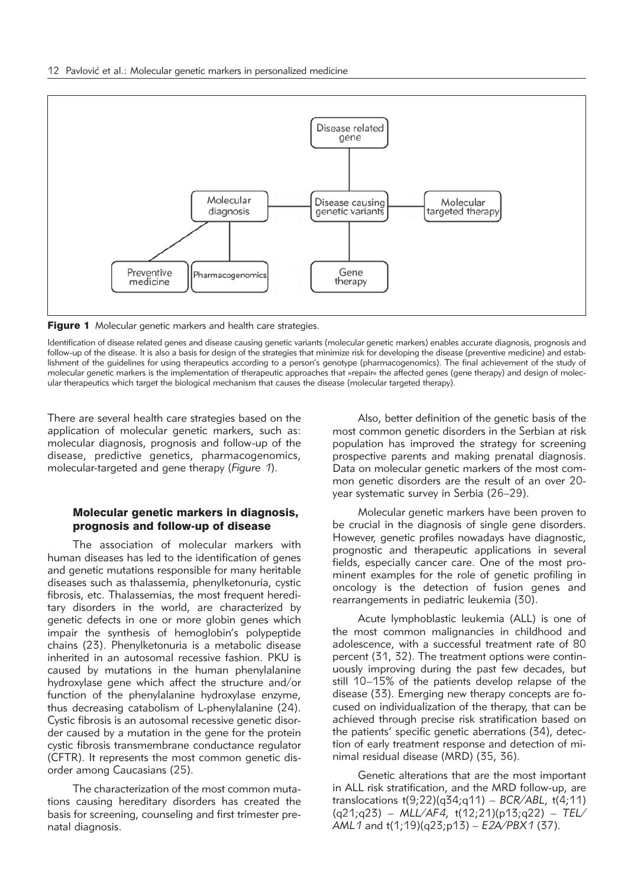

Figure 1 Molecular genetic markers and health care strategies.

Identification of disease related genes and disease causing genetic variants (molecular genetic markers) enables accurate diagnosis, prognosis and follow-up of the disease. It is also a basis for design of the strategies that minimize risk for developing the disease (preventive medicine) and establishment of the guidelines for using therapeutics according to a person's genotype (pharmacogenomics). The final achievement of the study of molecular genetic markers is the implementation of therapeutic approaches that »repair« the affected genes (gene therapy) and design of molecular therapeutics which target the biological mechanism that causes the disease (molecular targeted therapy).

There are several health care strategies based on the application of molecular genetic markers, such as: molecular diagnosis, prognosis and follow-up of the disease, predictive genetics, pharmacogenomics, molecular-targeted and gene therapy (*Figure 1*).

### Molecular genetic markers in diagnosis, prognosis and follow-up of disease

The association of molecular markers with human diseases has led to the identification of genes and genetic mutations responsible for many heritable diseases such as thalassemia, phenylketonuria, cystic fibrosis, etc. Thalassemias, the most frequent hereditary disorders in the world, are characterized by genetic defects in one or more globin genes which impair the synthesis of hemoglobin's polypeptide chains (23). Phenylketonuria is a metabolic disease inherited in an autosomal recessive fashion. PKU is caused by mutations in the human phenylalanine hydroxylase gene which affect the structure and/or function of the phenylalanine hydroxylase enzyme, thus decreasing catabolism of L-phenylalanine (24). Cystic fibrosis is an autosomal recessive genetic disorder caused by a mutation in the gene for the protein cystic fibrosis transmembrane conductance regulator (CFTR). It represents the most common genetic disorder among Caucasians (25).

The characterization of the most common mutations causing hereditary disorders has created the basis for screening, counseling and first trimester prenatal diagnosis.

Also, better definition of the genetic basis of the most common genetic disorders in the Serbian at risk population has improved the strategy for screening prospective parents and making prenatal diagnosis. Data on molecular genetic markers of the most common genetic disorders are the result of an over 20 year systematic survey in Serbia (26–29).

Molecular genetic markers have been proven to be crucial in the diagnosis of single gene disorders. However, genetic profiles nowadays have diagnostic, prognostic and therapeutic applications in several fields, especially cancer care. One of the most prominent examples for the role of genetic profiling in oncology is the detection of fusion genes and rearrangements in pediatric leukemia (30).

Acute lymphoblastic leukemia (ALL) is one of the most common malignancies in childhood and adolescence, with a successful treatment rate of 80 percent (31, 32). The treatment options were continuously improving during the past few decades, but still 10–15% of the patients develop relapse of the disease (33). Emerging new therapy concepts are focused on individualization of the therapy, that can be achieved through precise risk stratification based on the patients' specific genetic aberrations (34), detection of early treatment response and detection of minimal residual disease (MRD) (35, 36).

Genetic alterations that are the most important in ALL risk stratification, and the MRD follow-up, are translocations t(9;22)(q34;q11) – *BCR/ABL*, t(4;11) (q21;q23) – *MLL/AF4*, t(12;21)(p13;q22) – *TEL/ AML1* and t(1;19)(q23;p13) – *E2A/PBX1* (37).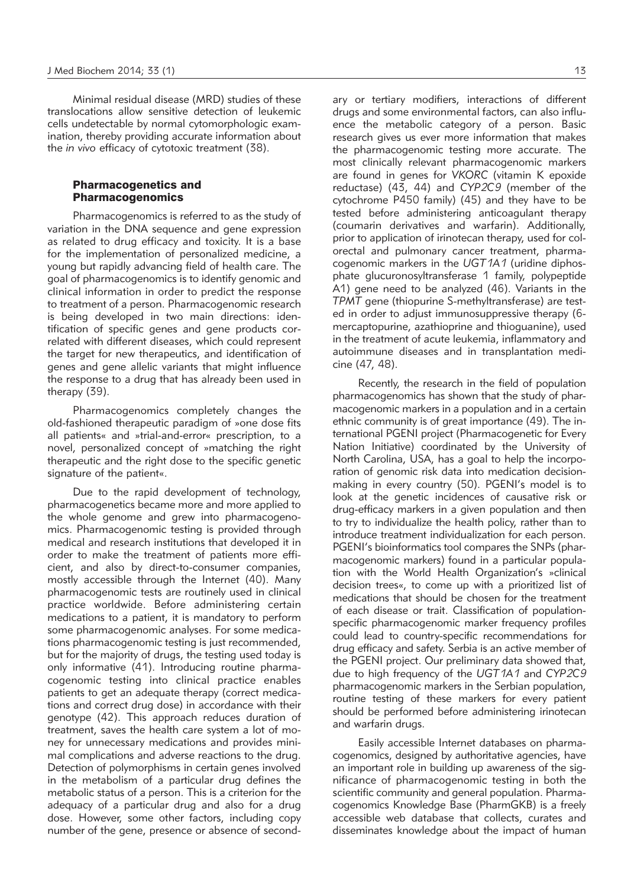Minimal residual disease (MRD) studies of these translocations allow sensitive detection of leukemic cells undetectable by normal cytomorphologic examination, thereby providing accurate information about the *in vivo* efficacy of cytotoxic treatment (38).

#### Pharmacogenetics and Pharmacogenomics

Pharmacogenomics is referred to as the study of variation in the DNA sequence and gene expression as related to drug efficacy and toxicity. It is a base for the implementation of personalized medicine, a young but rapidly advancing field of health care. The goal of pharmacogenomics is to identify genomic and clinical information in order to predict the response to treatment of a person. Pharmacogenomic research is being developed in two main directions: identification of specific genes and gene products correlated with different diseases, which could represent the target for new therapeutics, and identification of genes and gene allelic variants that might influence the response to a drug that has already been used in therapy  $(39)$ .

Pharmacogenomics completely changes the old -fashioned therapeutic paradigm of »one dose fits all patients« and »trial-and-error« prescription, to a no vel, personalized concept of »matching the right therapeutic and the right dose to the specific genetic signature of the patient«.

Due to the rapid development of technology, pharmacogenetics became more and more applied to the whole genome and grew into pharmacogenomics. Pharmacogenomic testing is provided through medical and research institutions that developed it in order to make the treatment of patients more efficient, and also by direct-to-consumer companies, mostly accessible through the Internet (40). Many pharmacogenomic tests are routinely used in clinical practice worldwide. Before administering certain medications to a patient, it is mandatory to perform some pharmacogenomic analyses. For some medications pharmacogenomic testing is just recommended, but for the majority of drugs, the testing used today is only informative (41). Introducing routine pharmacogenomic testing into clinical practice enables patients to get an adequate therapy (correct medications and correct drug dose) in accordance with their genotype (42). This approach reduces duration of treatment, saves the health care system a lot of money for unnecessary medications and provides minimal complications and adverse reactions to the drug. Detection of polymorphisms in certain genes involved in the metabolism of a particular drug defines the metabolic status of a person. This is a criterion for the adequacy of a particular drug and also for a drug dose. However, some other factors, including copy number of the gene, presence or absence of secondary or tertiary modifiers, interactions of different drugs and some environmental factors, can also influence the metabolic category of a person. Basic research gives us ever more information that makes the pharmacogenomic testing more accurate. The most clinically relevant pharmacogenomic markers are found in genes for *VKORC* (vitamin K epoxide reductase) (43, 44) and *CYP2C9* (member of the cytochrome P450 family) (45) and they have to be tested before administering anticoagulant therapy (coumarin derivatives and warfarin). Additionally, prior to application of irinotecan therapy, used for colorectal and pulmonary cancer treatment, pharmacogenomic markers in the *UGT1A1* (uridine diphosphate glucuronosyltransferase 1 family, polypeptide A1) gene need to be analyzed (46). Variants in the *TPMT* gene (thiopurine S-methyltransferase) are tested in order to adjust immunosuppressive therapy (6 mercaptopurine, azathioprine and thioguanine), used in the treatment of acute leukemia, inflammatory and autoimmune diseases and in transplantation medicine (47, 48).

Recently, the research in the field of population pharmacogenomics has shown that the study of pharmacogenomic markers in a population and in a certain ethnic community is of great importance (49). The international PGENI project (Pharmacogenetic for Every Nation Initiative) coordinated by the University of North Carolina, USA, has a goal to help the incorporation of genomic risk data into medication decisionmaking in every country (50). PGENI's model is to look at the genetic incidences of causative risk or drug-efficacy markers in a given population and then to try to individualize the health policy, rather than to introduce treatment individualization for each person. PGENI's bioinformatics tool compares the SNPs (pharmacogenomic markers) found in a particular population with the World Health Organization's »clinical decision trees«, to come up with a prioritized list of medications that should be chosen for the treatment of each disease or trait. Classification of populationspecific pharmacogenomic marker frequency profiles could lead to country-specific recommendations for drug efficacy and safety. Serbia is an active member of the PGENI project. Our preliminary data showed that, due to high frequency of the *UGT1A1* and *CYP2C9* pharmacogenomic markers in the Serbian population, routine testing of these markers for every patient should be performed before administering irinotecan and warfarin drugs.

Easily accessible Internet databases on pharmacogenomics, designed by authoritative agencies, have an important role in building up awareness of the significance of pharmacogenomic testing in both the scientific community and general population. Pharmacogenomics Knowledge Base (PharmGKB) is a freely accessible web database that collects, curates and disseminates knowledge about the impact of human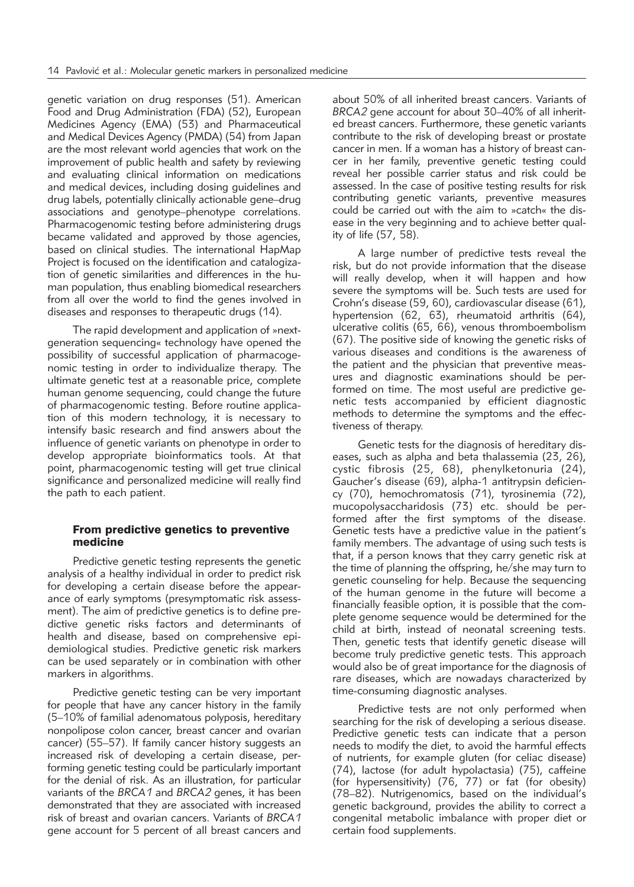genetic variation on drug responses (51). American Food and Drug Administration (FDA) (52), European Medicines Agency (EMA) (53) and Pharmaceutical and Medical Devices Agency (PMDA) (54) from Japan are the most relevant world agencies that work on the improvement of public health and safety by reviewing and evaluating clinical information on medications and medical devices, including dosing guidelines and drug labels, potentially clinically actionable gene–drug associations and genotype–phenotype correlations. Pharmacogenomic testing before administering drugs became validated and approved by those agencies, based on clinical studies. The international HapMap Project is focused on the identification and catalogization of genetic similarities and differences in the human population, thus enabling biomedical researchers from all over the world to find the genes involved in diseases and responses to therapeutic drugs (14).

The rapid development and application of »nextgeneration sequencing« technology have opened the possibility of successful application of pharmacogenomic testing in order to individualize therapy. The ultimate genetic test at a reasonable price, complete human genome sequencing, could change the future of pharmacogenomic testing. Before routine application of this modern technology, it is necessary to intensify basic research and find answers about the influence of genetic variants on phenotype in order to develop appropriate bioinformatics tools. At that point, pharmacogenomic testing will get true clinical significance and personalized medicine will really find the path to each patient.

# From predictive genetics to preventive medicine

Predictive genetic testing represents the genetic analysis of a healthy individual in order to predict risk for developing a certain disease before the appearance of early symptoms (presymptomatic risk assessment). The aim of predictive genetics is to define predictive genetic risks factors and determinants of health and disease, based on comprehensive epidemiological studies. Predictive genetic risk markers can be used separately or in combination with other markers in algorithms.

Predictive genetic testing can be very important for people that have any cancer history in the family (5–10% of familial adenomatous polyposis, hereditary nonpolipose colon cancer, breast cancer and ovarian cancer) (55–57). If family cancer history suggests an increased risk of developing a certain disease, performing genetic testing could be particularly important for the denial of risk. As an illustration, for particular variants of the *BRCA1* and *BRCA2* genes, it has been demonstrated that they are associated with increased risk of breast and ovarian cancers. Variants of *BRCA1* gene account for 5 percent of all breast cancers and

about 50% of all inherited breast cancers. Variants of *BRCA2* gene account for about 30–40% of all inherited breast cancers. Furthermore, these genetic variants contribute to the risk of developing breast or prostate cancer in men. If a woman has a history of breast cancer in her family, preventive genetic testing could reveal her possible carrier status and risk could be assessed. In the case of positive testing results for risk contributing genetic variants, preventive measures could be carried out with the aim to »catch« the disease in the very beginning and to achieve better quality of life (57, 58).

A large number of predictive tests reveal the risk, but do not provide information that the disease will really develop, when it will happen and how severe the symptoms will be. Such tests are used for Crohn's disease (59, 60), cardiovascular disease (61), hypertension (62, 63), rheumatoid arthritis (64), ulcerative colitis (65, 66), venous thromboembolism (67). The positive side of knowing the genetic risks of various diseases and conditions is the awareness of the patient and the physician that preventive measures and diagnostic examinations should be performed on time. The most useful are predictive genetic tests accompanied by efficient diagnostic methods to determine the symptoms and the effectiveness of therapy.

Genetic tests for the diagnosis of hereditary diseases, such as alpha and beta thalassemia (23, 26), cystic fibrosis (25, 68), phenylketonuria (24), Gaucher's disease (69), alpha-1 antitrypsin deficiency (70), hemochromatosis (71), tyrosinemia (72), mucopolysaccharidosis (73) etc. should be performed after the first symptoms of the disease. Genetic tests have a predictive value in the patient's family members. The advantage of using such tests is that, if a person knows that they carry genetic risk at the time of planning the offspring, he/she may turn to genetic counseling for help. Because the sequencing of the human genome in the future will become a financially feasible option, it is possible that the complete genome sequence would be determined for the child at birth, instead of neonatal screening tests. Then, genetic tests that identify genetic disease will become truly predictive genetic tests. This approach would also be of great importance for the diagnosis of rare diseases, which are nowadays characterized by time-consuming diagnostic analyses.

Predictive tests are not only performed when searching for the risk of developing a serious disease. Predictive genetic tests can indicate that a person needs to modify the diet, to avoid the harmful effects of nutrients, for example gluten (for celiac disease) (74), lactose (for adult hypolactasia) (75), caffeine (for hypersensitivity) (76, 77) or fat (for obesity) (78–82). Nutrigenomics, based on the individual's genetic background, provides the ability to correct a congenital metabolic imbalance with proper diet or certain food supplements.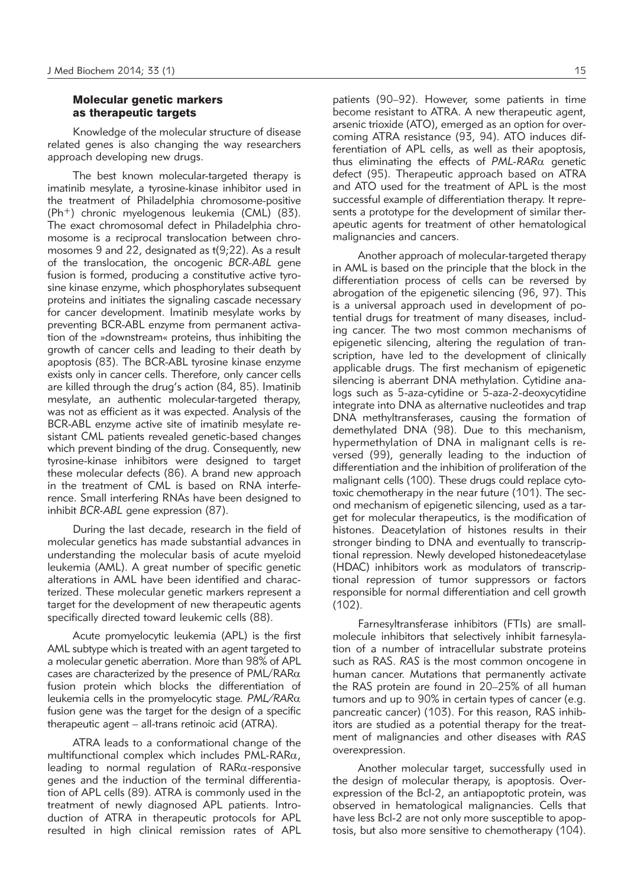#### Molecular genetic markers as therapeutic targets

Knowledge of the molecular structure of disease related genes is also changing the way researchers approach developing new drugs.

The best known molecular-targeted therapy is imatinib mesylate, a tyrosine-kinase inhibitor used in the treatment of Philadelphia chromosome-positive (Ph+) chronic myelogenous leukemia (CML) (83). The exact chromosomal defect in Philadelphia chromosome is a reciprocal translocation between chromosomes 9 and 22, designated as t(9;22). As a result of the translocation, the oncogenic *BCR-ABL* gene fusion is formed, producing a constitutive active tyrosine kinase enzyme, which phosphorylates subsequent proteins and initiates the signaling cascade necessary for cancer development. Imatinib mesylate works by preventing BCR-ABL enzyme from permanent activation of the »downstream« proteins, thus inhibiting the growth of cancer cells and leading to their death by apoptosis (83). The BCR-ABL tyrosine kinase enzyme exists only in cancer cells. Therefore, only cancer cells are killed through the drug's action (84, 85). Imatinib mesylate, an authentic molecular-targeted therapy, was not as efficient as it was expected. Analysis of the BCR-ABL enzyme active site of imatinib mesylate resistant CML patients revealed genetic-based changes which prevent binding of the drug. Consequently, new tyrosine-kinase inhibitors were designed to target these molecular defects (86). A brand new approach in the treatment of CML is based on RNA interference. Small interfering RNAs have been designed to inhibit *BCR-ABL* gene expression (87).

During the last decade, research in the field of molecular genetics has made substantial advances in understanding the molecular basis of acute myeloid leukemia (AML). A great number of specific genetic alterations in AML have been identified and characterized. These molecular genetic markers represent a target for the development of new therapeutic agents specifically directed toward leukemic cells (88).

Acute promyelocytic leukemia (APL) is the first AML subtype which is treated with an agent targeted to a molecular genetic aberration. More than 98% of APL cases are characterized by the presence of PML/RAR $\alpha$ fusion protein which blocks the differentiation of leukemia cells in the promyelocytic stage*. PML/RAR*a fusion gene was the target for the design of a specific therapeutic agent – all-trans retinoic acid (ATRA).

ATRA leads to a conformational change of the multifunctional complex which includes PML-RAR $\alpha$ , leading to normal regulation of  $RAR\alpha$ -responsive genes and the induction of the terminal differentiation of APL cells (89). ATRA is commonly used in the treatment of newly diagnosed APL patients. Introduction of ATRA in therapeutic protocols for APL resulted in high clinical remission rates of APL patients (90-92). However, some patients in time become resistant to ATRA. A new therapeutic agent, arsenic trioxide (ATO), emerged as an option for overcoming ATRA resistance (93, 94). ATO induces differentiation of APL cells, as well as their apoptosis, thus eliminating the effects of *PML-RAR*a genetic defect (95). Therapeutic approach based on ATRA and ATO used for the treatment of APL is the most successful example of differentiation therapy. It represents a prototype for the development of similar therapeutic agents for treatment of other hematological malignancies and cancers.

Another approach of molecular-targeted therapy in AML is based on the principle that the block in the differentiation process of cells can be reversed by abrogation of the epigenetic silencing (96, 97). This is a universal approach used in development of potential drugs for treatment of many diseases, including cancer. The two most common mechanisms of epigenetic silencing, altering the regulation of transcription, have led to the development of clinically applicable drugs. The first mechanism of epigenetic silencing is aberrant DNA methylation. Cytidine analogs such as 5-aza-cytidine or 5-aza-2-deoxycytidine integrate into DNA as alternative nucleotides and trap DNA methyltransferases, causing the formation of demethylated DNA (98). Due to this mechanism, hypermethylation of DNA in malignant cells is reversed (99), generally leading to the induction of differentiation and the inhibition of proliferation of the malignant cells (100). These drugs could replace cytotoxic chemotherapy in the near future (101). The second mechanism of epigenetic silencing, used as a target for molecular therapeutics, is the modification of histones. Deacetylation of histones results in their stronger binding to DNA and eventually to transcriptional repression. Newly developed histonedeacetylase (HDAC) inhibitors work as modulators of transcriptional repression of tumor suppressors or factors responsible for normal differentiation and cell growth (102).

Farnesyltransferase inhibitors (FTIs) are smallmolecule inhibitors that selectively inhibit farnesylation of a number of intracellular substrate proteins such as RAS. *RAS* is the most common oncogene in human cancer. Mutations that permanently activate the RAS protein are found in 20–25% of all human tumors and up to 90% in certain types of cancer (e.g. pancreatic cancer) (103). For this reason, RAS inhibitors are studied as a potential therapy for the treatment of malignancies and other diseases with *RAS* overexpression.

Another molecular target, successfully used in the design of molecular therapy, is apoptosis. Overexpression of the Bcl-2, an antiapoptotic protein, was observed in hematological malignancies. Cells that have less Bcl-2 are not only more susceptible to apoptosis, but also more sensitive to chemotherapy (104).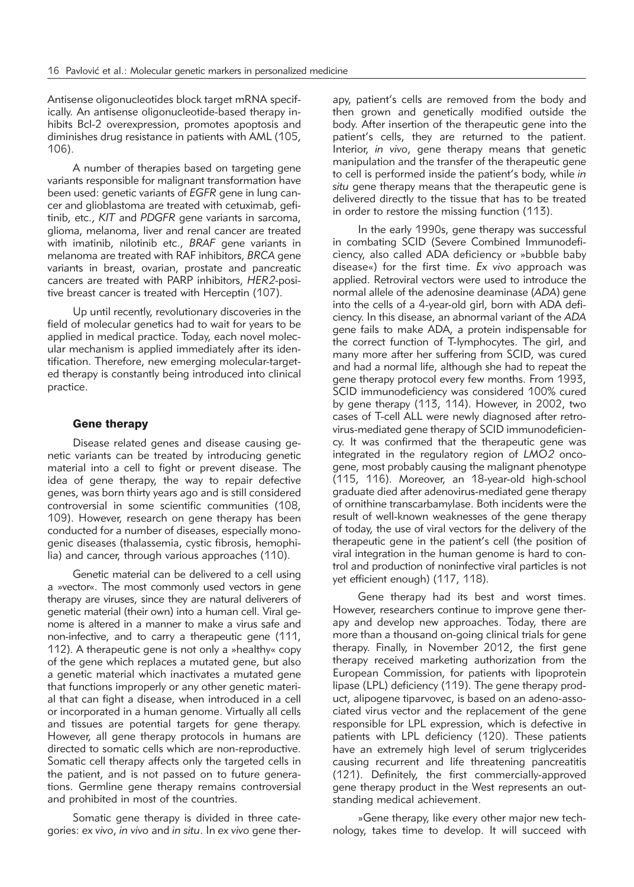Antisense oligonucleotides block target mRNA specifically. An antisense oligonucleotide-based therapy inhibits Bcl-2 overexpression, promotes apoptosis and diminishes drug resistance in patients with AML (105, 106).

A number of therapies based on targeting gene variants responsible for malignant transformation have been used: genetic variants of *EGFR* gene in lung cancer and glioblastoma are treated with cetuximab, gefitinib, etc., *KIT* and *PDGFR* gene variants in sarcoma, glioma, melanoma, liver and renal cancer are treated with imatinib, nilotinib etc., *BRAF* gene variants in melanoma are treated with RAF inhibitors, *BRCA* gene variants in breast, ovarian, prostate and pancreatic cancers are treated with PARP inhibitors, *HER2*-positive breast cancer is treated with Herceptin (107).

Up until recently, revolutionary discoveries in the field of molecular genetics had to wait for years to be applied in medical practice. Today, each novel molecular mechanism is applied immediately after its identification. Therefore, new emerging molecular-targeted therapy is constantly being introduced into clinical practice.

# Gene therapy

Disease related genes and disease causing genetic variants can be treated by introducing genetic material into a cell to fight or prevent disease. The idea of gene therapy, the way to repair defective genes, was born thirty years ago and is still considered controversial in some scientific communities (108, 109). However, research on gene therapy has been conducted for a number of diseases, especially monogenic diseases (thalassemia, cystic fibrosis, hemophilia) and cancer, through various approaches (110).

Genetic material can be delivered to a cell using a »vector«. The most commonly used vectors in gene therapy are viruses, since they are natural deliverers of genetic material (their own) into a human cell. Viral genome is altered in a manner to make a virus safe and non-infective, and to carry a therapeutic gene (111, 112). A therapeutic gene is not only a »healthy« copy of the gene which replaces a mutated gene, but also a genetic material which inactivates a mutated gene that functions improperly or any other genetic material that can fight a disease, when introduced in a cell or incorporated in a human genome. Virtually all cells and tissues are potential targets for gene therapy. However, all gene therapy protocols in humans are directed to somatic cells which are non-reproductive. Somatic cell therapy affects only the targeted cells in the patient, and is not passed on to future generations. Germline gene therapy remains controversial and prohibited in most of the countries.

Somatic gene therapy is divided in three categories: *ex vivo*, *in vivo* and *in situ*. In *ex vivo* gene therapy, patient's cells are removed from the body and then grown and genetically modified outside the body. After insertion of the therapeutic gene into the patient's cells, they are returned to the patient. Interior, *in vivo*, gene therapy means that genetic manipulation and the transfer of the therapeutic gene to cell is performed inside the patient's body, while *in situ* gene therapy means that the therapeutic gene is delivered directly to the tissue that has to be treated in order to restore the missing function (113).

In the early 1990s, gene therapy was successful in combating SCID (Severe Combined Immunodeficiency, also called ADA deficiency or »bubble baby disease«) for the first time. Ex vivo approach was applied. Retroviral vectors were used to introduce the normal allele of the adenosine deaminase (*ADA*) gene into the cells of a 4-year-old girl, born with ADA deficiency. In this disease, an abnormal variant of the *ADA* gene fails to make ADA, a protein indispensable for the correct function of T-lymphocytes. The girl, and many more after her suffering from SCID, was cured and had a normal life, although she had to repeat the gene therapy protocol every few months. From 1993, SCID immunodeficiency was considered 100% cured by gene therapy (113, 114). However, in 2002, two cases of T-cell ALL were newly diagnosed after retrovirus-mediated gene therapy of SCID immunodeficiency. It was confirmed that the therapeutic gene was integrated in the regulatory region of *LMO2* oncogene, most probably causing the malignant phenotype (115, 116). Moreover, an 18-year-old high-school graduate died after adenovirus-mediated gene therapy of ornithine transcarbamylase. Both incidents were the result of well-known weaknesses of the gene therapy of today, the use of viral vectors for the delivery of the therapeutic gene in the patient's cell (the position of viral integration in the human genome is hard to control and production of noninfective viral particles is not yet efficient enough) (117, 118).

Gene therapy had its best and worst times. However, researchers continue to improve gene therapy and develop new approaches. Today, there are more than a thousand on-going clinical trials for gene therapy. Finally, in November 2012, the first gene therapy received marketing authorization from the European Commission, for patients with lipoprotein lipase (LPL) deficiency (119). The gene therapy product, alipogene tiparvovec, is based on an adeno-associated virus vector and the replacement of the gene responsible for LPL expression, which is defective in patients with LPL deficiency (120). These patients have an extremely high level of serum triglycerides causing recurrent and life threatening pancreatitis (121). Definitely, the first commercially-approved gene therapy product in the West represents an outstanding medical achievement.

»Gene therapy, like every other major new technology, takes time to develop. It will succeed with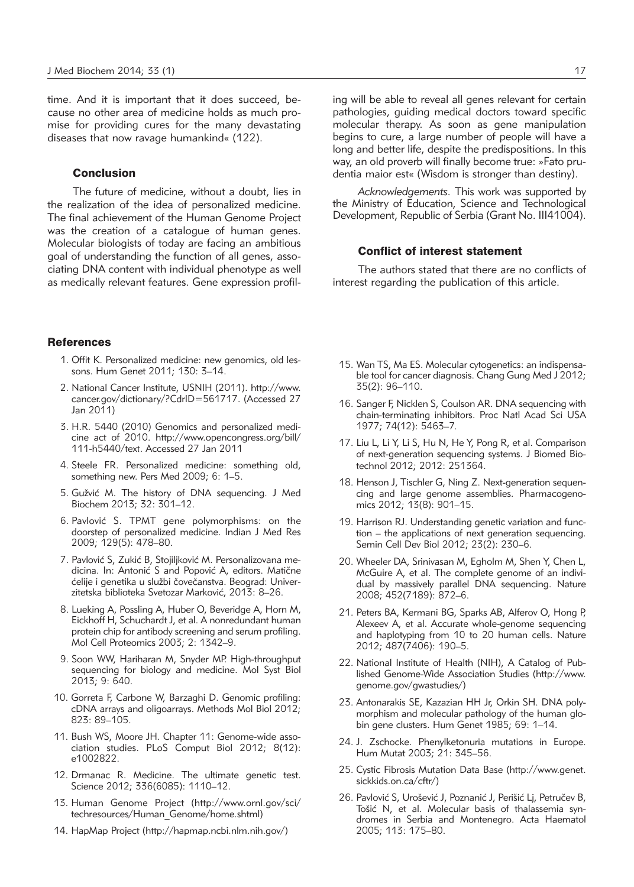time. And it is important that it does succeed, because no other area of medicine holds as much promise for providing cures for the many devastating diseases that now ravage humankind« (122).

#### Conclusion

The future of medicine, without a doubt, lies in the realization of the idea of personalized medicine. The final achievement of the Human Genome Project was the creation of a catalogue of human genes. Molecular biologists of today are facing an ambitious goal of understanding the function of all genes, associating DNA content with individual phenotype as well as medically relevant features. Gene expression profil-

#### **References**

- 1. Offit K. Personalized medicine: new genomics, old lessons. Hum Genet 2011; 130: 3–14.
- 2. National Cancer Institute, USNIH (2011). http://www. cancer.gov/dictionary/?CdrID=561717. (Accessed 27 Jan 2011)
- 3. H.R. 5440 (2010) Genomics and personalized medicine act of 2010. http://www.opencongress.org/bill/ 111-h5440/text. Accessed 27 Jan 2011
- 4. Steele FR. Personalized medicine: something old, something new. Pers Med 2009; 6: 1–5.
- 5. Gužvić M. The history of DNA sequencing. J Med Biochem 2013; 32: 301–12.
- 6. Pavlović S. TPMT gene polymorphisms: on the doorstep of personalized medicine. Indian J Med Res 2009; 129(5): 478–80.
- 7. Pavlović S, Zukić B, Stojiljković M. Personalizovana medicina. In: Antonić S and Popović A, editors. Matične ćelije i genetika u službi čovečanstva. Beograd: Univerzitetska biblioteka Svetozar Marković, 2013: 8–26.
- 8. Lueking A, Possling A, Huber O, Beveridge A, Horn M, Eickhoff H, Schuchardt J, et al. A nonredundant human protein chip for antibody screening and serum profiling. Mol Cell Proteomics 2003; 2: 1342–9.
- 9. Soon WW, Hariharan M, Snyder MP. High-throughput sequencing for biology and medicine. Mol Syst Biol 2013; 9: 640.
- 10. Gorreta F, Carbone W, Barzaghi D. Genomic profiling: cDNA arrays and oligoarrays. Methods Mol Biol 2012; 823: 89–105.
- 11. Bush WS, Moore JH. Chapter 11: Genome-wide association studies. PLoS Comput Biol 2012; 8(12): e1002822.
- 12. Drmanac R. Medicine. The ultimate genetic test. Science 2012; 336(6085): 1110–12.
- 13. Human Genome Project (http://www.ornl.gov/sci/ techresources/Human Genome/home.shtml)
- 14. HapMap Project (http://hapmap.ncbi.nlm.nih.gov/)

ing will be able to reveal all genes relevant for certain pathologies, guiding medical doctors toward specific molecular therapy. As soon as gene manipulation begins to cure, a large number of people will have a long and better life, despite the predispositions. In this way, an old proverb will finally become true: »Fato prudentia maior est« (Wisdom is stronger than destiny).

*Acknowledgements.* This work was supported by the Ministry of Education, Science and Technological Development, Republic of Serbia (Grant No. III41004).

#### Conflict of interest statement

The authors stated that there are no conflicts of interest regarding the publication of this article.

- 15. Wan TS, Ma ES. Molecular cytogenetics: an indispensable tool for cancer diagnosis. Chang Gung Med J 2012; 35(2): 96–110.
- 16. Sanger F, Nicklen S, Coulson AR. DNA sequencing with chain-terminating inhibitors. Proc Natl Acad Sci USA 1977; 74(12): 5463–7.
- 17. Liu L, Li Y, Li S, Hu N, He Y, Pong R, et al. Comparison of next-generation sequencing systems. J Biomed Bio technol 2012; 2012: 251364.
- 18. Henson J, Tischler G, Ning Z. Next-generation sequencing and large genome assemblies. Pharmacogenomics 2012; 13(8): 901–15.
- 19. Harrison RJ. Understanding genetic variation and function – the applications of next generation sequencing. Semin Cell Dev Biol 2012; 23(2): 230-6.
- 20. Wheeler DA, Srinivasan M, Egholm M, Shen Y, Chen L, McGuire A, et al. The complete genome of an individual by massively parallel DNA sequencing. Nature 2008; 452(7189): 872–6.
- 21. Peters BA, Kermani BG, Sparks AB, Alferov O, Hong P, Alexeev A, et al. Accurate whole-genome sequencing and haplotyping from 10 to 20 human cells. Nature 2012; 487(7406): 190–5.
- 22. National Institute of Health (NIH), A Catalog of Published Genome-Wide Association Studies (http://www. genome.gov/gwastudies/)
- 23. Antonarakis SE, Kazazian HH Jr, Orkin SH. DNA polymorphism and molecular pathology of the human globin gene clusters. Hum Genet 1985; 69: 1–14.
- 24. J. Zschocke. Phenylketonuria mutations in Europe. Hum Mutat 2003; 21: 345–56.
- 25. Cystic Fibrosis Mutation Data Base (http://www.genet. sickkids.on.ca/cftr/)
- 26. Pavlović S, Urošević J, Poznanić J, Perišić Lj, Petručev B, Tošić N, et al. Molecular basis of thalassemia syndromes in Serbia and Montenegro. Acta Haematol 2005; 113: 175–80.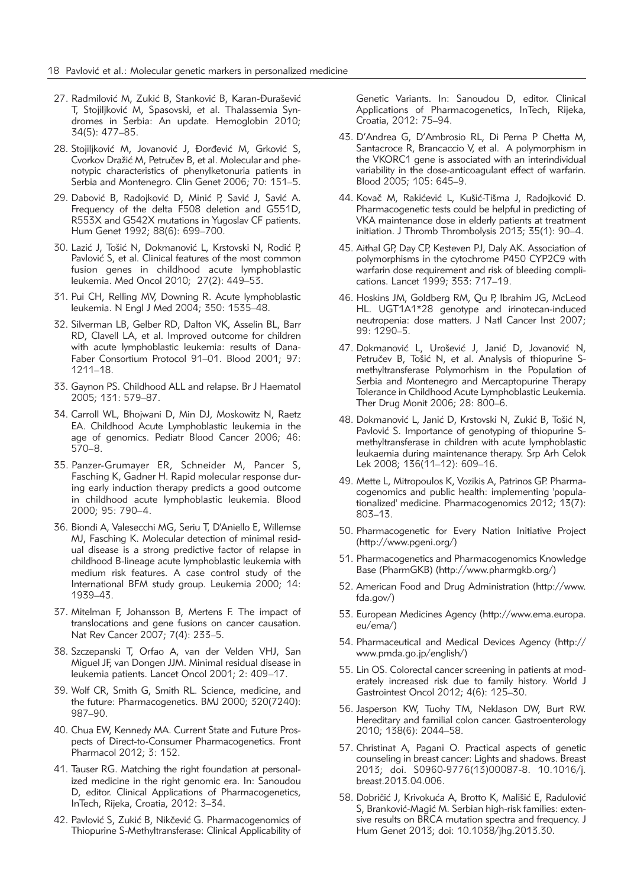- 27. Radmilović M, Zukić B, Stanković B, Karan-Đurašević T, Stojiljković M, Spasovski, et al. Thalassemia Syndromes in Serbia: An update. Hemoglobin 2010; 34(5): 477–85.
- 28. Stojiljković M, Jovanović J, Đorđević M, Grković S, Cvorkov Dražić M, Petručev B, et al. Molecular and phenotypic characteristics of phenylketonuria patients in Serbia and Montenegro. Clin Genet 2006; 70: 151–5.
- 29. Dabović B, Radojković D, Minić P, Savić J, Savić A. Frequency of the delta F508 deletion and G551D, R553X and G542X mutations in Yugoslav CF patients. Hum Genet 1992; 88(6): 699–700.
- 30. Lazić J, Tošić N, Dokmanović L, Krstovski N, Rodić P, Pavlović S, et al. Clinical features of the most common fusion genes in childhood acute lymphoblastic leukemia. Med Oncol 2010; 27(2): 449–53.
- 31. Pui CH, Relling MV, Downing R. Acute lymphoblastic leukemia. N Engl J Med 2004; 350: 1535–48.
- 32. Silverman LB, Gelber RD, Dalton VK, Asselin BL, Barr RD, Clavell LA, et al. Improved outcome for children with acute lymphoblastic leukemia: results of Dana-Faber Consortium Protocol 91–01. Blood 2001; 97: 1211–18.
- 33. Gaynon PS. Childhood ALL and relapse. Br J Haematol 2005; 131: 579–87.
- 34. Carroll WL, Bhojwani D, Min DJ, Moskowitz N, Raetz EA. Childhood Acute Lymphoblastic leukemia in the age of genomics. Pediatr Blood Cancer 2006; 46: 570–8.
- 35. Panzer-Grumayer ER, Schneider M, Pancer S, Fasching K, Gadner H. Rapid molecular response during early induction therapy predicts a good outcome in childhood acute lymphoblastic leukemia. Blood 2000; 95: 790–4.
- 36. Biondi A, Valesecchi MG, Seriu T, D'Aniello E, Willemse MJ, Fasching K. Molecular detection of minimal residual disease is a strong predictive factor of relapse in childhood B-lineage acute lymphoblastic leukemia with medium risk features. A case control study of the International BFM study group. Leukemia 2000; 14: 1939–43.
- 37. Mitelman F, Johansson B, Mertens F. The impact of translocations and gene fusions on cancer causation. Nat Rev Cancer 2007; 7(4): 233–5.
- 38. Szczepanski T, Orfao A, van der Velden VHJ, San Miguel JF, van Dongen JJM. Minimal residual disease in leukemia patients. Lancet Oncol 2001; 2: 409–17.
- 39. Wolf CR, Smith G, Smith RL. Science, medicine, and the future: Pharmacogenetics. BMJ 2000; 320(7240): 987–90.
- 40. Chua EW, Kennedy MA. Current State and Future Prospects of Direct-to-Consumer Pharmacogenetics. Front Pharmacol 2012; 3: 152.
- 41. Tauser RG. Matching the right foundation at personalized medicine in the right genomic era. In: Sanoudou D, editor. Clinical Applications of Pharmacogenetics, InTech, Rijeka, Croatia, 2012: 3–34.
- 42. Pavlović S, Zukić B, Nikčević G. Pharmacogenomics of Thiopurine S-Methyltransferase: Clinical Applicability of

Genetic Variants. In: Sanoudou D, editor. Clinical Applications of Pharmacogenetics, InTech, Rijeka, Croatia, 2012: 75–94.

- 43. D'Andrea G, D'Ambrosio RL, Di Perna P Chetta M, Santacroce R, Brancaccio V, et al. A polymorphism in the VKORC1 gene is associated with an interindividual variability in the dose-anticoagulant effect of warfarin. Blood 2005; 105: 645–9.
- 44. Kovač M, Rakićević L, Kušić-Tišma J, Radojković D. Pharma cogenetic tests could be helpful in predicting of VKA maintenance dose in elderly patients at treatment initiation. J Thromb Thrombolysis 2013; 35(1): 90–4.
- 45. Aithal GP, Day CP, Kesteven PJ, Daly AK. Association of polymorphisms in the cytochrome P450 CYP2C9 with warfarin dose requirement and risk of bleeding complications. Lancet 1999; 353: 717–19.
- 46. Hoskins JM, Goldberg RM, Qu P, Ibrahim JG, McLeod HL. UGT1A1\*28 genotype and irinotecan-induced neutropenia: dose matters. J Natl Cancer Inst 2007; 99: 1290–5.
- 47. Dokmanović L, Urošević J, Janić D, Jovanović N, Petručev B, Tošić N, et al. Analysis of thiopurine Smethyltransferase Polymorhism in the Population of Serbia and Montenegro and Mercaptopurine Therapy Tolerance in Childhood Acute Lymphoblastic Leukemia. Ther Drug Monit 2006; 28: 800-6.
- 48. Dokmanović L, Janić D, Krstovski N, Zukić B, Tošić N, Pavlović S. Importance of genotyping of thiopurine Smethyltransferase in children with acute lymphoblastic leukaemia during maintenance therapy. Srp Arh Celok Lek 2008; 136(11–12): 609–16.
- 49. Mette L, Mitropoulos K, Vozikis A, Patrinos GP. Pharmacogenomics and public health: implementing 'populationalized' medicine. Pharmacogenomics 2012; 13(7): 803–13.
- 50. Pharmacogenetic for Every Nation Initiative Project (http://www.pgeni.org/)
- 51. Pharmacogenetics and Pharmacogenomics Knowledge Base (PharmGKB) (http://www.pharmgkb.org/)
- 52. American Food and Drug Administration (http://www. fda.gov/)
- 53. European Medicines Agency (http://www.ema.europa. eu/ema/)
- 54. Pharmaceutical and Medical Devices Agency (http:// www. pmda.go.jp/english/)
- 55. Lin OS. Colorectal cancer screening in patients at moderately increased risk due to family history. World J Gastrointest Oncol 2012; 4(6): 125–30.
- 56. Jasperson KW, Tuohy TM, Neklason DW, Burt RW. Hereditary and familial colon cancer. Gastroenterology 2010; 138(6): 2044–58.
- 57. Christinat A, Pagani O. Practical aspects of genetic counseling in breast cancer: Lights and shadows. Breast 2013; doi. S0960-9776(13)00087-8. 10.1016/j. breast. 2013.04.006.
- 58. Dobričić J, Krivokuća A, Brotto K, Mališić E, Radulović S, Branković-Magić M. Serbian high-risk families: extensive results on BRCA mutation spectra and frequency. J Hum Genet 2013; doi: 10.1038/jhg.2013.30.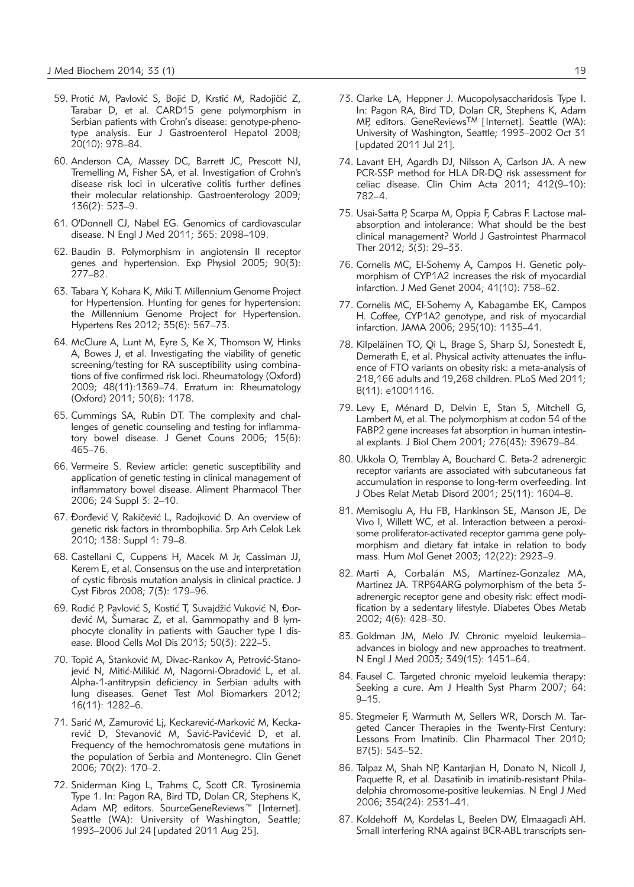- 59. Protić M, Pavlović S, Bojić D, Krstić M, Radojičić Z, Tarabar D, et al. CARD15 gene polymorphism in Serbian patients with Crohn's disease: genotype-phenotype analysis. Eur J Gastroenterol Hepatol 2008; 20(10): 978–84.
- 60. Anderson CA, Massey DC, Barrett JC, Prescott NJ, Tremelling M, Fisher SA, et al. Investigation of Crohn's disease risk loci in ulcerative colitis further defines their molecular relationship. Gastroenterology 2009; 136(2): 523–9.
- 61. O'Donnell CJ, Nabel EG. Genomics of cardiovascular disease. N Engl J Med 2011; 365: 2098–109.
- 62. Baudin B. Polymorphism in angiotensin II receptor genes and hypertension. Exp Physiol 2005; 90(3): 277–82.
- 63. Tabara Y, Kohara K, Miki T. Millennium Genome Project for Hypertension. Hunting for genes for hypertension: the Millennium Genome Project for Hypertension. Hypertens Res 2012; 35(6): 567–73.
- 64. McClure A, Lunt M, Eyre S, Ke X, Thomson W, Hinks A, Bowes J, et al. Investigating the viability of genetic screening/testing for RA susceptibility using combinations of five confirmed risk loci. Rheumatology (Oxford) 2009; 48(11):1369–74. Erratum in: Rheumatology (Oxford) 2011; 50(6): 1178.
- 65. Cummings SA, Rubin DT. The complexity and challenges of genetic counseling and testing for inflammatory bowel disease. J Genet Couns 2006; 15(6): 465–76.
- 66. Vermeire S. Review article: genetic susceptibility and application of genetic testing in clinical management of inflammatory bowel disease. Aliment Pharmacol Ther 2006; 24 Suppl 3: 2–10.
- 67. Đorđević V, Rakičević L, Radojković D. An overview of genetic risk factors in thrombophilia. Srp Arh Celok Lek 2010; 138: Suppl 1: 79–8.
- 68. Castellani C, Cuppens H, Macek M Jr, Cassiman JJ, Kerem E, et al. Consensus on the use and interpretation of cystic fibrosis mutation analysis in clinical practice. J Cyst Fibros 2008; 7(3): 179–96.
- 69. Rodić P, Pavlović S, Kostić T, Suvajdžić Vuković N, Đor $devic$  M, Sumarac Z, et al. Gammopathy and B lymphocyte clonality in patients with Gaucher type I disease. Blood Cells Mol Dis 2013; 50(3): 222–5.
- 70. Topić A, Stanković M, Divac-Rankov A, Petrović-Stanojević N, Mitić-Milikić M, Nagorni-Obradović L, et al. Alpha-1-antitrypsin deficiency in Serbian adults with lung diseases. Genet Test Mol Biomarkers 2012; 16(11): 1282–6.
- 71. Sarić M, Zamurović Lj, Keckarević-Marković M, Keckarević D, Stevanović M, Savić-Pavićević D, et al. Frequency of the hemochromatosis gene mutations in the population of Serbia and Montenegro. Clin Genet 2006; 70(2): 170–2.
- 72. Sniderman King L, Trahms C, Scott CR. Tyrosinemia Type 1. In: Pagon RA, Bird TD, Dolan CR, Stephens K, Adam MP, editors. SourceGeneReviews™ [Internet]. Seattle (WA): University of Washington, Seattle; 1993–2006 Jul 24 [updated 2011 Aug 25].
- 73. Clarke LA, Heppner J. Mucopolysaccharidosis Type I. In: Pagon RA, Bird TD, Dolan CR, Stephens K, Adam MP, editors. GeneReviewsTM [Internet]. Seattle (WA): University of Washington, Seattle; 1993-2002 Oct 31 [updated 2011 Jul 21].
- 74. Lavant EH, Agardh DJ, Nilsson A, Carlson JA. A new PCR-SSP method for HLA DR-DQ risk assessment for celiac disease. Clin Chim Acta 2011; 412(9-10): 782–4.
- 75. Usai-Satta P, Scarpa M, Oppia F, Cabras F. Lactose malabsorption and intolerance: What should be the best clinical management? World J Gastrointest Pharmacol Ther 2012; 3(3): 29–33.
- 76. Cornelis MC, El-Sohemy A, Campos H. Genetic polymorphism of CYP1A2 increases the risk of myocardial infarction. J Med Genet 2004; 41(10): 758–62.
- 77. Cornelis MC, El-Sohemy A, Kabagambe EK, Campos H. Coffee, CYP1A2 genotype, and risk of myocardial infarction. JAMA 2006; 295(10): 1135–41.
- 78. Kilpeläinen TO, Qi L, Brage S, Sharp SJ, Sonestedt E, Demerath E, et al. Physical activity attenuates the influence of FTO variants on obesity risk: a meta-analysis of 218,166 adults and 19,268 children. PLoS Med 2011; 8(11): e1001116.
- 79. Levy E, Ménard D, Delvin E, Stan S, Mitchell G, Lambert M, et al. The polymorphism at codon 54 of the FABP2 gene increases fat absorption in human intestinal explants. J Biol Chem 2001; 276(43): 39679–84.
- 80. Ukkola O, Tremblay A, Bouchard C. Beta-2 adrenergic receptor variants are associated with subcutaneous fat accumulation in response to long-term overfeeding. Int J Obes Relat Metab Disord 2001; 25(11): 1604–8.
- 81. Memisoglu A, Hu FB, Hankinson SE, Manson JE, De Vivo I, Willett WC, et al. Interaction between a peroxisome proliferator-activated receptor gamma gene polymorphism and dietary fat intake in relation to body mass. Hum Mol Genet 2003; 12(22): 2923–9.
- 82. Marti A, Corbalán MS, Martínez-Gonzalez MA, Martinez JA. TRP64ARG polymorphism of the beta 3 adrenergic receptor gene and obesity risk: effect modification by a sedentary lifestyle. Diabetes Obes Metab 2002; 4(6): 428–30.
- 83. Goldman JM, Melo JV. Chronic myeloid leukemiaadvances in biology and new approaches to treatment. N Engl J Med 2003; 349(15): 1451–64.
- 84. Fausel C. Targeted chronic myeloid leukemia therapy: Seeking a cure. Am J Health Syst Pharm 2007; 64: 9–15.
- 85. Stegmeier F, Warmuth M, Sellers WR, Dorsch M. Tar geted Cancer Therapies in the Twenty-First Century: Lessons From Imatinib. Clin Pharmacol Ther 2010; 87(5): 543–52.
- 86. Talpaz M, Shah NP, Kantarjian H, Donato N, Nicoll J, Paquette R, et al. Dasatinib in imatinib-resistant Philadelphia chromosome-positive leukemias. N Engl J Med 2006; 354(24): 2531–41.
- 87. Koldehoff M, Kordelas L, Beelen DW, Elmaagacli AH. Small interfering RNA against BCR-ABL transcripts sen-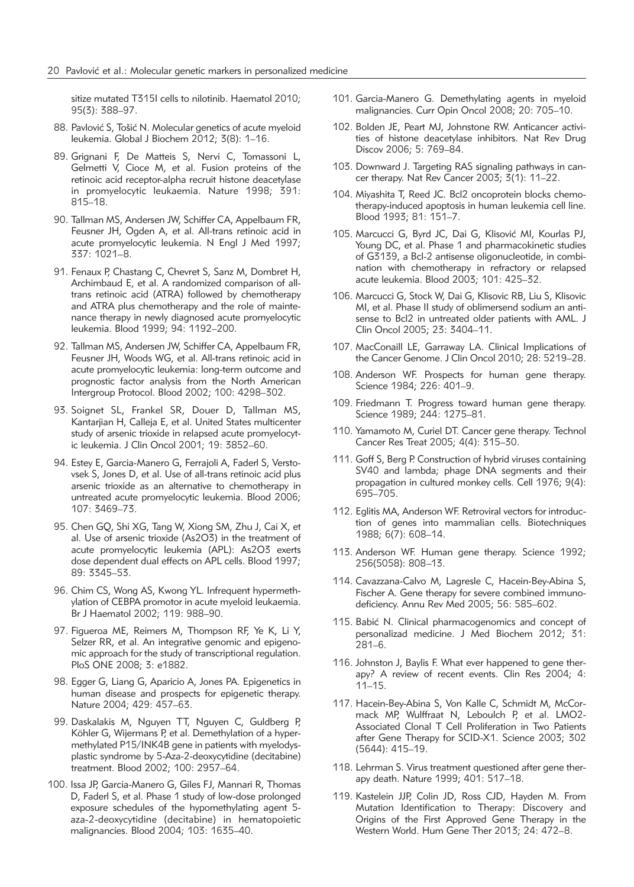sitize mutated T315I cells to nilotinib. Haematol 2010; 95(3): 388–97.

- 88. Pavlović S, Tošić N. Molecular genetics of acute myeloid leukemia. Global J Biochem 2012; 3(8): 1–16.
- 89. Grignani F, De Matteis S, Nervi C, Tomassoni L, Gelmetti V, Cioce M, et al. Fusion proteins of the retinoic acid receptor-alpha recruit histone deacetylase in promyelocytic leukaemia. Nature 1998; 391: 815–18.
- 90. Tallman MS, Andersen JW, Schiffer CA, Appelbaum FR, Feusner JH, Ogden A, et al. All-trans retinoic acid in acute promyelocytic leukemia. N Engl J Med 1997; 337: 1021–8.
- 91. Fenaux P, Chastang C, Chevret S, Sanz M, Dombret H, Archimbaud E, et al. A randomized comparison of alltrans retinoic acid (ATRA) followed by chemotherapy and ATRA plus chemotherapy and the role of maintenance therapy in newly diagnosed acute promyelocytic leukemia. Blood 1999; 94: 1192–200.
- 92. Tallman MS, Andersen JW, Schiffer CA, Appelbaum FR, Feusner JH, Woods WG, et al. All-trans retinoic acid in acute promyelocytic leukemia: long-term outcome and prognostic factor analysis from the North American Intergroup Protocol. Blood 2002; 100: 4298-302.
- 93. Soignet SL, Frankel SR, Douer D, Tallman MS, Kantarjian H, Calleja E, et al. United States multicenter study of arsenic trioxide in relapsed acute promyelocytic leukemia. J Clin Oncol 2001; 19: 3852-60.
- 94. Estey E, Garcia-Manero G, Ferrajoli A, Faderl S, Verstovsek S, Jones D, et al. Use of all-trans retinoic acid plus arsenic trioxide as an alternative to chemotherapy in untreated acute promyelocytic leukemia. Blood 2006; 107: 3469–73.
- 95. Chen GQ, Shi XG, Tang W, Xiong SM, Zhu J, Cai X, et al. Use of arsenic trioxide (As2O3) in the treatment of acute promyelocytic leukemia (APL): As2O3 exerts dose dependent dual effects on APL cells. Blood 1997; 89: 3345–53.
- 96. Chim CS, Wong AS, Kwong YL. Infrequent hypermethylation of CEBPA promotor in acute myeloid leukaemia. Br J Haematol 2002; 119: 988–90.
- 97. Figueroa ME, Reimers M, Thompson RF, Ye K, Li Y, Selzer RR, et al. An integrative genomic and epigenomic approach for the study of transcriptional regulation. PloS ONE 2008; 3: e1882.
- 98. Egger G, Liang G, Aparicio A, Jones PA. Epigenetics in human disease and prospects for epigenetic therapy. Nature 2004; 429: 457–63.
- 99. Daskalakis M, Nguyen TT, Nguyen C, Guldberg P, Köhler G, Wijermans P, et al. Demethylation of a hypermethylated P15/INK4B gene in patients with myelodysplastic syndrome by 5-Aza-2-deoxycytidine (decitabine) treatment. Blood 2002; 100: 2957–64.
- 100. Issa JP, Garcia-Manero G, Giles FJ, Mannari R, Thomas D, Faderl S, et al. Phase 1 study of low-dose prolonged exposure schedules of the hypomethylating agent 5 aza-2-deoxycytidine (decitabine) in hematopoietic malignancies. Blood 2004; 103: 1635–40.
- 101. Garcia-Manero G. Demethylating agents in myeloid malignancies. Curr Opin Oncol 2008; 20: 705–10.
- 102. Bolden JE, Peart MJ, Johnstone RW. Anticancer activities of histone deacetylase inhibitors. Nat Rev Drug Discov 2006; 5: 769–84.
- 103. Downward J. Targeting RAS signaling pathways in cancer therapy. Nat Rev Cancer 2003; 3(1): 11–22.
- 104. Miyashita T, Reed JC. Bcl2 oncoprotein blocks chemotherapy-induced apoptosis in human leukemia cell line. Blood 1993; 81: 151–7.
- 105. Marcucci G, Byrd JC, Dai G, Klisović MI, Kourlas PJ, Young DC, et al. Phase 1 and pharmacokinetic studies of G3139, a Bcl-2 antisense oligonucleotide, in combination with chemotherapy in refractory or relapsed acute leukemia. Blood 2003; 101: 425–32.
- 106. Marcucci G, Stock W, Dai G, Klisovic RB, Liu S, Klisovic MI, et al. Phase II study of oblimersend sodium an antisense to Bcl2 in untreated older patients with AML. J Clin Oncol 2005; 23: 3404–11.
- 107. MacConaill LE, Garraway LA. Clinical Implications of the Cancer Genome. J Clin Oncol 2010; 28: 5219–28.
- 108. Anderson WF. Prospects for human gene therapy. Science 1984; 226: 401–9.
- 109. Friedmann T. Progress toward human gene therapy. Science 1989; 244: 1275–81.
- 110. Yamamoto M, Curiel DT. Cancer gene therapy. Technol Cancer Res Treat 2005; 4(4): 315–30.
- 111. Goff S, Berg P. Construction of hybrid viruses containing SV40 and lambda; phage DNA segments and their propagation in cultured monkey cells. Cell 1976; 9(4): 695–705.
- 112. Eglitis MA, Anderson WF. Retroviral vectors for introduction of genes into mammalian cells. Biotechniques 1988; 6(7): 608–14.
- 113. Anderson WF. Human gene therapy. Science 1992; 256(5058): 808–13.
- 114. Cavazzana-Calvo M, Lagresle C, Hacein-Bey-Abina S, Fischer A. Gene therapy for severe combined immunodeficiency. Annu Rev Med 2005; 56: 585–602.
- 115. Babić N. Clinical pharmacogenomics and concept of personalizad medicine. J Med Biochem 2012; 31: 281–6.
- 116. Johnston J, Baylis F. What ever happened to gene therapy? A review of recent events. Clin Res 2004; 4: 11–15.
- 117. Hacein-Bey-Abina S, Von Kalle C, Schmidt M, McCormack MP, Wulffraat N, Leboulch P, et al. LMO2- Associated Clonal T Cell Proliferation in Two Patients after Gene Therapy for SCID-X1. Science 2003; 302 (5644): 415–19.
- 118. Lehrman S. Virus treatment questioned after gene therapy death. Nature 1999; 401: 517–18.
- 119. Kastelein JJP, Colin JD, Ross CJD, Hayden M. From Mutation Identification to Therapy: Discovery and Origins of the First Approved Gene Therapy in the Western World. Hum Gene Ther 2013; 24: 472–8.